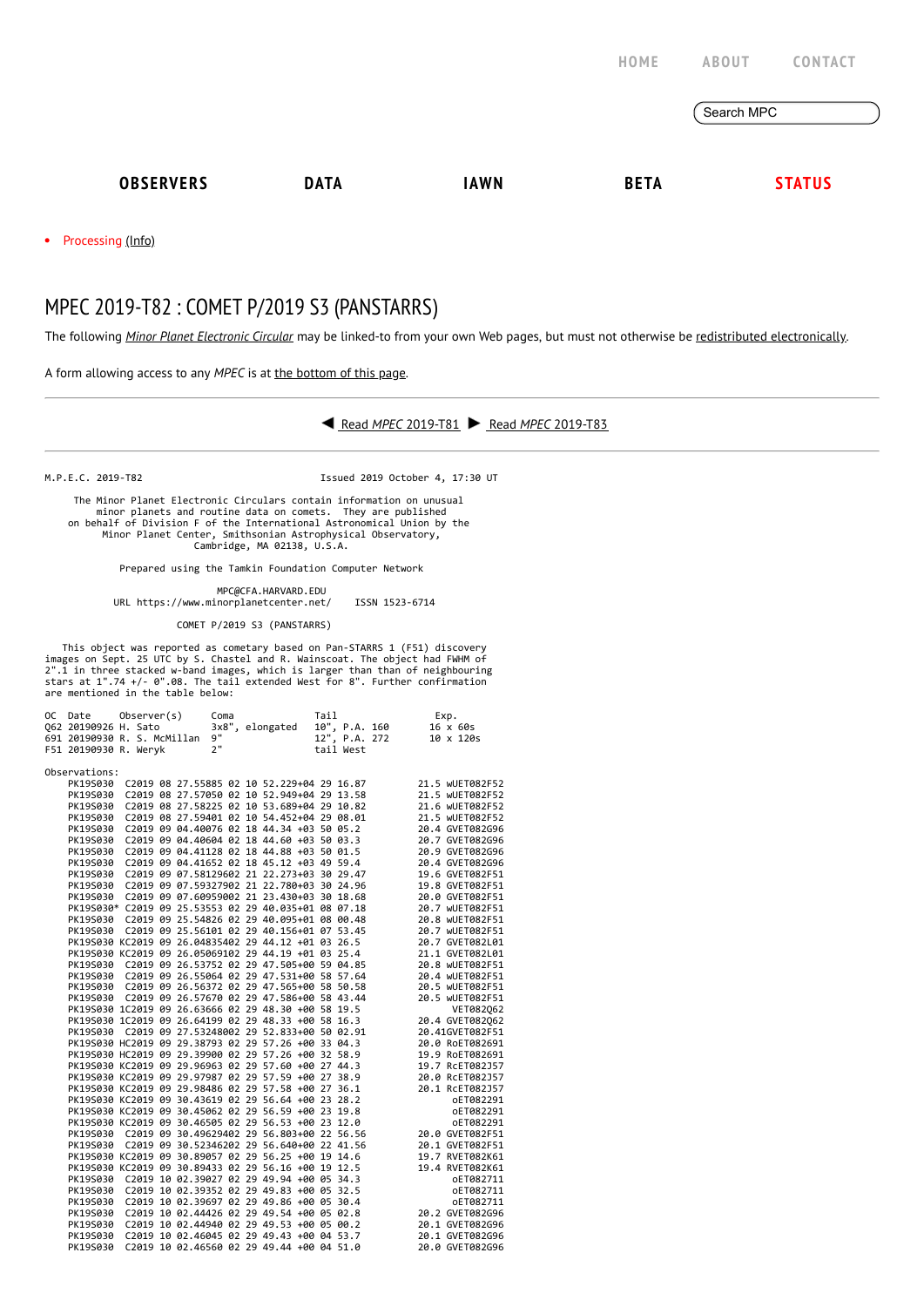|                                                                                                                 |             |             | HOME        | <b>ABOUT</b> | CONTACT       |
|-----------------------------------------------------------------------------------------------------------------|-------------|-------------|-------------|--------------|---------------|
|                                                                                                                 |             |             |             | Search MPC   |               |
| <b>OBSERVERS</b>                                                                                                | <b>DATA</b> | <b>IAWN</b> | <b>BETA</b> |              | <b>STATUS</b> |
| the contract of the contract of the contract of the contract of the contract of the contract of the contract of |             |             |             |              |               |

 $\mathcal{E}$ 

 $\bullet$ Processing [\(Info\)](https://minorplanetcenter.net/iau/info/MPCOpStatus.html)

## MPEC 2019-T82 : COMET P/2019 S3 (PANSTARRS)

The following *Minor Planet [Electronic](https://minorplanetcenter.net/iau/services/MPEC.html) Circular* may be linked-to from your own Web pages, but must not otherwise be redistributed [electronically](https://minorplanetcenter.net/iau/WWWPolicy.html).

A form allowing access to any *MPEC* is at the [bottom](https://minorplanetcenter.net/mpec/K19/K19T82.html#form) of this page.



M.P.E.C. 2019-T82 Issued 2019 October 4, 17:30 UT

 The Minor Planet Electronic Circulars contain information on unusual minor planets and routine data on comets. They are published on behalf of Division F of the International Astronomical Union by the Minor Planet Center, Smithsonian Astrophysical Observatory, Cambridge, MA 02138, U.S.A.

Prepared using the Tamkin Foundation Computer Network

MPC@CFA.HARVARD.EDU

URL https://www.minorplanetcenter.net/ ISSN 1523-6714

COMET P/2019 S3 (PANSTARRS)

This object was reported as cometary based on Pan-STARRS 1 (F51) discovery images on Sept. 25 UTC by S. Chastel and R. Wainscoat. The object had FWHM of  $2"$ .1 in three stacked w-band images, which is larger than than of

|               | OC Date                     | Observer(s) |  |  | Coma |  |                                                      | Tail |           | Exp.                                                  |                                                        |
|---------------|-----------------------------|-------------|--|--|------|--|------------------------------------------------------|------|-----------|-------------------------------------------------------|--------------------------------------------------------|
|               | 062 20190926 H. Sato        |             |  |  |      |  | 3x8", elongated                                      |      |           | $10^{\circ}$ , P.A. 160<br>12", P.A. 272<br>10 x 120s |                                                        |
|               | 691 20190930 R. S. McMillan |             |  |  | 9"   |  |                                                      |      |           |                                                       |                                                        |
|               | F51 20190930 R. Weryk       |             |  |  | 2"   |  |                                                      |      | tail West |                                                       |                                                        |
|               |                             |             |  |  |      |  |                                                      |      |           |                                                       |                                                        |
| Observations: |                             |             |  |  |      |  |                                                      |      |           |                                                       |                                                        |
|               | PK19S030                    |             |  |  |      |  | C2019 08 27.55885 02 10 52.229+04 29 16.87           |      |           |                                                       | 21.5 WUET082F52                                        |
|               | PK19S030                    |             |  |  |      |  | C2019 08 27.57050 02 10 52.949+04 29 13.58           |      |           |                                                       | 21.5 WUET082F52                                        |
|               | PK19S030                    |             |  |  |      |  | C2019 08 27.58225 02 10 53.689+04 29 10.82           |      |           |                                                       | 21.6 WUET082F52                                        |
|               |                             |             |  |  |      |  | PK19S030 C2019 08 27.59401 02 10 54.452+04 29 08.01  |      |           |                                                       | 21.5 WUET082F52                                        |
|               | PK19S030                    |             |  |  |      |  | C2019 09 04.40076 02 18 44.34 +03 50 05.2            |      |           |                                                       | 20.4 GVET082G96                                        |
|               |                             |             |  |  |      |  |                                                      |      |           |                                                       |                                                        |
|               | PK19S030                    |             |  |  |      |  | C2019 09 04.40604 02 18 44.60 +03 50 03.3            |      |           |                                                       | 20.7 GVET082G96                                        |
|               | PK19S030                    |             |  |  |      |  | C2019 09 04.41128 02 18 44.88 +03 50 01.5            |      |           |                                                       | 20.9 GVET082G96                                        |
|               | PK19S030                    |             |  |  |      |  | C2019 09 04.41652 02 18 45.12 +03 49 59.4            |      |           |                                                       | 20.4 GVET082G96                                        |
|               | PK19S030                    |             |  |  |      |  | C2019 09 07.58129602 21 22.273+03 30 29.47           |      |           |                                                       | 19.6 GVET082F51                                        |
|               | PK19S030                    |             |  |  |      |  | C2019 09 07.59327902 21 22.780+03 30 24.96           |      |           |                                                       | 19.8 GVET082F51                                        |
|               | PK19S030                    |             |  |  |      |  | C2019 09 07.60959002 21 23.430+03 30 18.68           |      |           |                                                       | 20.0 GVET082F51                                        |
|               |                             |             |  |  |      |  | PK19S030* C2019 09 25.53553 02 29 40.035+01 08 07.18 |      |           |                                                       | 20.7 WUET082F51                                        |
|               | PK19S030                    |             |  |  |      |  | C2019 09 25.54826 02 29 40.095+01 08 00.48           |      |           |                                                       | 20.8 WUET082F51                                        |
|               | PK19S030                    |             |  |  |      |  | C2019 09 25.56101 02 29 40.156+01 07 53.45           |      |           |                                                       | 20.7 WUET082F51                                        |
|               |                             |             |  |  |      |  | PK19S030 KC2019 09 26.04835402 29 44.12 +01 03 26.5  |      |           |                                                       | 20.7 GVET082L01                                        |
|               |                             |             |  |  |      |  | PK19S030 KC2019 09 26.05069102 29 44.19 +01 03 25.4  |      |           |                                                       | 21.1 GVET082L01                                        |
|               |                             |             |  |  |      |  | PK19S030 C2019 09 26.53752 02 29 47.505+00 59 04.85  |      |           |                                                       | 20.8 WUET082F51                                        |
|               |                             |             |  |  |      |  | PK19S030 C2019 09 26.55064 02 29 47.531+00 58 57.64  |      |           |                                                       | 20.4 WUET082F51                                        |
|               |                             |             |  |  |      |  | PK19S030 C2019 09 26.56372 02 29 47.565+00 58 50.58  |      |           |                                                       | 20.5 WUET082F51                                        |
|               |                             |             |  |  |      |  | PK19S030 C2019 09 26.57670 02 29 47.586+00 58 43.44  |      |           |                                                       | 20.5 WUET082F51                                        |
|               |                             |             |  |  |      |  |                                                      |      |           |                                                       |                                                        |
|               |                             |             |  |  |      |  | PK19S030 1C2019 09 26.63666 02 29 48.30 +00 58 19.5  |      |           |                                                       | VET082062                                              |
|               |                             |             |  |  |      |  | PK19S030 1C2019 09 26.64199 02 29 48.33 +00 58 16.3  |      |           |                                                       | 20.4 GVET082062                                        |
|               |                             |             |  |  |      |  | PK19S030 C2019 09 27.53248002 29 52.833+00 50 02.91  |      |           |                                                       | 20.41GVET082F51                                        |
|               |                             |             |  |  |      |  | PK19S030 HC2019 09 29.38793 02 29 57.26 +00 33 04.3  |      |           |                                                       | 20.0 RoET082691                                        |
|               |                             |             |  |  |      |  | PK19S030 HC2019 09 29.39900 02 29 57.26 +00 32 58.9  |      |           |                                                       | 19.9 RoET082691                                        |
|               |                             |             |  |  |      |  | PK19S030 KC2019 09 29.96963 02 29 57.60 +00 27 44.3  |      |           |                                                       | 19.7 RcET082J57                                        |
|               |                             |             |  |  |      |  | PK19S030 KC2019 09 29.97987 02 29 57.59 +00 27 38.9  |      |           |                                                       | 20.0 RcET082J57                                        |
|               |                             |             |  |  |      |  | PK19S030 KC2019 09 29.98486 02 29 57.58 +00 27 36.1  |      |           |                                                       | 20.1 RcET082J57                                        |
|               |                             |             |  |  |      |  | PK19S030 KC2019 09 30.43619 02 29 56.64 +00 23 28.2  |      |           |                                                       | oET082291                                              |
|               |                             |             |  |  |      |  | PK19S030 KC2019 09 30.45062 02 29 56.59 +00 23 19.8  |      |           |                                                       | oET082291                                              |
|               |                             |             |  |  |      |  | PK19S030 KC2019 09 30.46505 02 29 56.53 +00 23 12.0  |      |           |                                                       | oET082291                                              |
|               | PK19S030                    |             |  |  |      |  | C2019 09 30.49629402 29 56.803+00 22 56.56           |      |           |                                                       | 20.0 GVET082F51                                        |
|               |                             |             |  |  |      |  | PK19S030 C2019 09 30.52346202 29 56.640+00 22 41.56  |      |           |                                                       | 20.1 GVET082F51                                        |
|               |                             |             |  |  |      |  | PK19S030 KC2019 09 30.89057 02 29 56.25 +00 19 14.6  |      |           |                                                       | 19.7 RVET082K61                                        |
|               |                             |             |  |  |      |  | PK19S030 KC2019 09 30.89433 02 29 56.16 +00 19 12.5  |      |           |                                                       | 19.4 RVET082K61                                        |
|               |                             |             |  |  |      |  | PK19S030 C2019 10 02.39027 02 29 49.94 +00 05 34.3   |      |           |                                                       |                                                        |
|               |                             |             |  |  |      |  |                                                      |      |           |                                                       | oET082711                                              |
|               |                             |             |  |  |      |  | PK19S030 C2019 10 02.39352 02 29 49.83 +00 05 32.5   |      |           |                                                       | oET082711                                              |
|               |                             |             |  |  |      |  | PK19S030 C2019 10 02.39697 02 29 49.86 +00 05 30.4   |      |           |                                                       | 0ET082711<br>0ET082711<br>20.2 GVET082G96<br>oET082711 |
|               | PK19S030                    |             |  |  |      |  | C2019 10 02.44426 02 29 49.54 +00 05 02.8            |      |           |                                                       |                                                        |
|               |                             |             |  |  |      |  | PK19S030 C2019 10 02.44940 02 29 49.53 +00 05 00.2   |      |           |                                                       | 20.1 GVET082G96                                        |
|               | PK19S030                    |             |  |  |      |  | C2019 10 02.46045 02 29 49.43 +00 04 53.7            |      |           |                                                       | 20.1 GVET082G96                                        |
|               | PK19S030                    |             |  |  |      |  | C2019 10 02.46560 02 29 49.44 +00 04 51.0            |      |           |                                                       | 20.0 GVET082G96                                        |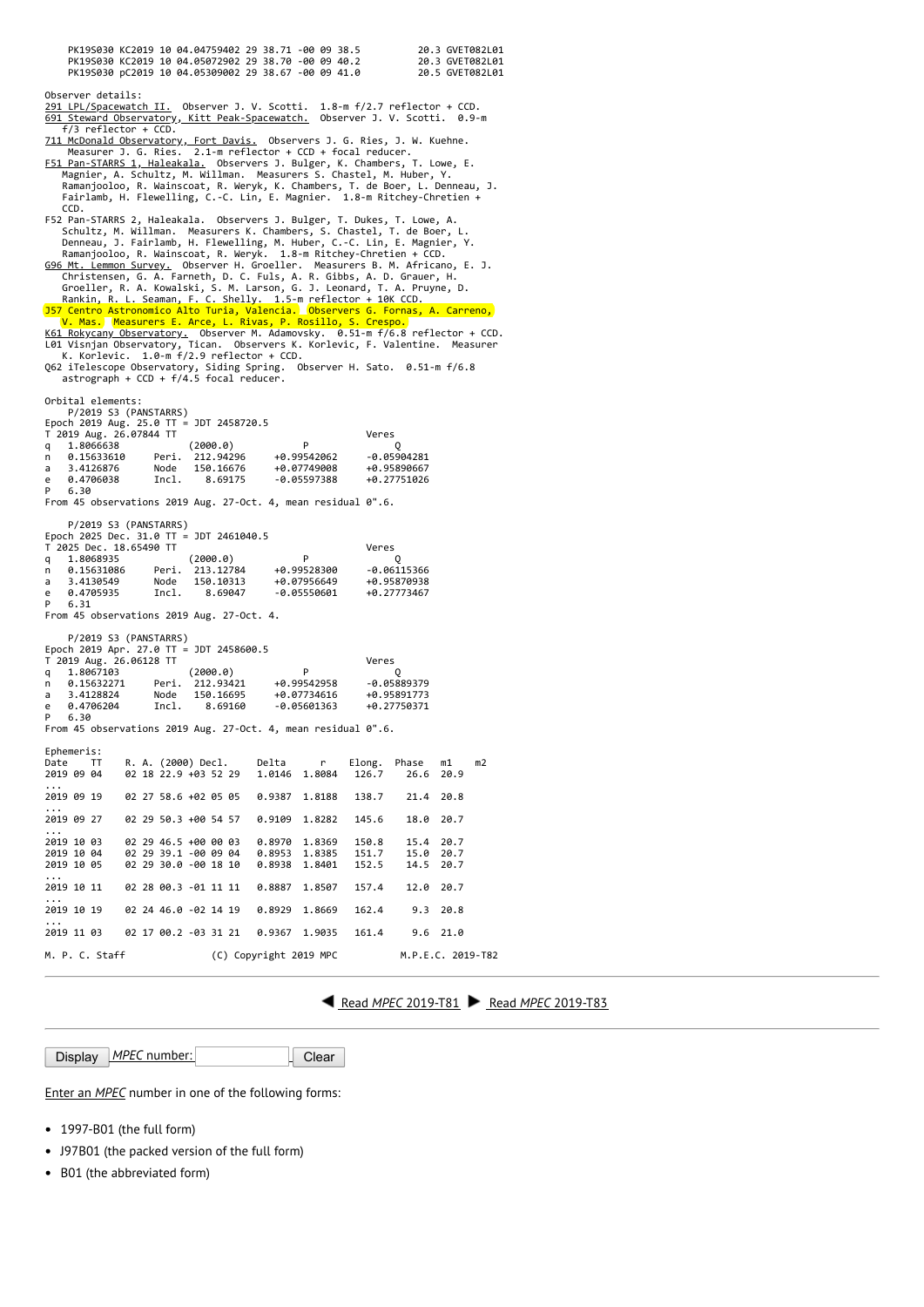| PK19S030 KC2019 10 04.04759402 29 38.71 -00 09 38.5<br>PK19S030 KC2019 10 04.05072902 29 38.70 -00 09 40.2<br>PK19S030 pC2019 10 04.05309002 29 38.67 -00 09 41.0 |                      |                            |                                | 20.3 GVET082L01<br>20.3 GVET082L01<br>20.5 GVET082L01 |  |  |  |
|-------------------------------------------------------------------------------------------------------------------------------------------------------------------|----------------------|----------------------------|--------------------------------|-------------------------------------------------------|--|--|--|
| Observer details:<br>291 LPL/Spacewatch II. Observer J. V. Scotti. 1.8-m f/2.7 reflector + CCD.                                                                   |                      |                            |                                |                                                       |  |  |  |
| 691 Steward Observatory, Kitt Peak-Spacewatch. Observer J. V. Scotti. 0.9-m<br>f/3 reflector + CCD.                                                               |                      |                            |                                |                                                       |  |  |  |
| 711 McDonald Observatory, Fort Davis. Observers J. G. Ries, J. W. Kuehne.<br>Measurer J. G. Ries. 2.1-m reflector + CCD + focal reducer.                          |                      |                            |                                |                                                       |  |  |  |
| F51 Pan-STARRS 1, Haleakala. Observers J. Bulger, K. Chambers, T. Lowe, E.<br>Magnier, A. Schultz, M. Willman. Measurers S. Chastel, M. Huber, Y.                 |                      |                            |                                |                                                       |  |  |  |
| Ramanjooloo, R. Wainscoat, R. Weryk, K. Chambers, T. de Boer, L. Denneau, J.<br>Fairlamb, H. Flewelling, C.-C. Lin, E. Magnier. 1.8-m Ritchey-Chretien +<br>CCD.  |                      |                            |                                |                                                       |  |  |  |
| F52 Pan-STARRS 2, Haleakala.  Observers J. Bulger, T. Dukes, T. Lowe, A.<br>Schultz, M. Willman. Measurers K. Chambers, S. Chastel, T. de Boer, L.                |                      |                            |                                |                                                       |  |  |  |
| Denneau, J. Fairlamb, H. Flewelling, M. Huber, C.-C. Lin, E. Magnier, Y.<br>Ramanjooloo, R. Wainscoat, R. Weryk. 1.8-m Ritchey-Chretien + CCD.                    |                      |                            |                                |                                                       |  |  |  |
| G96 Mt. Lemmon Survey. Observer H. Groeller. Measurers B. M. Africano, E. J.                                                                                      |                      |                            |                                |                                                       |  |  |  |
| Christensen, G. A. Farneth, D. C. Fuls, A. R. Gibbs, A. D. Grauer, H.<br>Groeller, R. A. Kowalski, S. M. Larson, G. J. Leonard, T. A. Pruyne, D.                  |                      |                            |                                |                                                       |  |  |  |
| Rankin, R. L. Seaman, F. C. Shelly. 1.5-m reflector + 10K CCD.                                                                                                    |                      |                            |                                |                                                       |  |  |  |
| 157 Centro Astronomico Alto Turia, Valencia. Observers G. Fornas, A. Carreno,<br>V. Mas. Measurers E. Arce, L. Rivas, P. Rosillo, S. Crespo.                      |                      |                            |                                |                                                       |  |  |  |
| K61 Rokycany Observatory. Observer M. Adamovsky. 0.51-m f/6.8 reflector + CCD.<br>L01 Visnjan Observatory, Tican. Observers K. Korlevic, F. Valentine. Measurer   |                      |                            |                                |                                                       |  |  |  |
| K. Korlevic. 1.0-m f/2.9 reflector + CCD.<br>Q62 iTelescope Observatory, Siding Spring. Observer H. Sato. 0.51-m f/6.8                                            |                      |                            |                                |                                                       |  |  |  |
| astrograph + CCD + f/4.5 focal reducer.                                                                                                                           |                      |                            |                                |                                                       |  |  |  |
| Orbital elements:<br>P/2019 S3 (PANSTARRS)                                                                                                                        |                      |                            |                                |                                                       |  |  |  |
| Epoch 2019 Aug. 25.0 TT = JDT 2458720.5<br>T 2019 Aug. 26.07844 TT                                                                                                |                      |                            | Veres                          |                                                       |  |  |  |
| 1.8066638<br>q                                                                                                                                                    | (2000.0)             | P                          | O                              |                                                       |  |  |  |
| Peri. 212.94296<br>0.15633610<br>n<br>3.4126876<br>Node<br>a                                                                                                      | 150.16676            | +0.99542062<br>+0.07749008 | $-0.05904281$<br>+0.95890667   |                                                       |  |  |  |
| 0.4706038<br>Incl.<br>e                                                                                                                                           | 8.69175              | -0.05597388                | +0.27751026                    |                                                       |  |  |  |
| P<br>6.30<br>From 45 observations 2019 Aug. 27-Oct. 4, mean residual $0''.6$ .                                                                                    |                      |                            |                                |                                                       |  |  |  |
| P/2019 S3 (PANSTARRS)                                                                                                                                             |                      |                            |                                |                                                       |  |  |  |
| Epoch 2025 Dec. 31.0 TT = JDT 2461040.5                                                                                                                           |                      |                            |                                |                                                       |  |  |  |
| T 2025 Dec. 18.65490 TT<br>1.8068935<br>q                                                                                                                         | (2000.0)             | P                          | Veres<br>Q                     |                                                       |  |  |  |
| Peri. 213.12784<br>0.15631086<br>n<br>3.4130549<br>Node<br>a                                                                                                      | 150.10313            | +0.99528300<br>+0.07956649 | -0.06115366<br>+0.95870938     |                                                       |  |  |  |
| 0.4705935<br>Incl.<br>e                                                                                                                                           | 8.69047              | -0.05550601                | +0.27773467                    |                                                       |  |  |  |
| P<br>6.31<br>From 45 observations 2019 Aug. 27-Oct. 4.                                                                                                            |                      |                            |                                |                                                       |  |  |  |
|                                                                                                                                                                   |                      |                            |                                |                                                       |  |  |  |
| P/2019 S3 (PANSTARRS)<br>Epoch 2019 Apr. 27.0 TT = JDT 2458600.5                                                                                                  |                      |                            |                                |                                                       |  |  |  |
| T 2019 Aug. 26.06128 TT<br>Veres<br>P<br>1.8067103<br>(2000.0)<br>q<br>Q                                                                                          |                      |                            |                                |                                                       |  |  |  |
| Peri.<br>0.15632271<br>n                                                                                                                                          | 212,93421            | +0.99542958                | $-0.05889379$                  |                                                       |  |  |  |
| Node<br>3.4128824<br>a<br>0.4706204<br>Incl.<br>e                                                                                                                 | 150.16695<br>8.69160 | +0.07734616<br>-0.05601363 | +0.95891773<br>+0.27750371     |                                                       |  |  |  |
| P<br>6.30                                                                                                                                                         |                      |                            |                                |                                                       |  |  |  |
| From 45 observations 2019 Aug. 27-Oct. 4, mean residual $0''.6$ .                                                                                                 |                      |                            |                                |                                                       |  |  |  |
| Ephemeris:<br>Date<br>R. A. (2000) Decl.<br>ТT                                                                                                                    | Delta                | r                          | Elong.<br>Phase                | m2<br>m1                                              |  |  |  |
| 2019 09 04<br>02 18 22.9 +03 52 29                                                                                                                                | 1.0146               | 1.8084                     | 126.7<br>26.6                  | 20.9                                                  |  |  |  |
| 02 27 58.6 +02 05 05<br>2019 09 19<br>.                                                                                                                           | 0.9387               | 1.8188                     | 138.7<br>21.4                  | 20.8                                                  |  |  |  |
| 02 29 50.3 +00 54 57<br>2019 09 27                                                                                                                                | 0.9109               | 1.8282                     | 145.6<br>18.0                  | 20.7                                                  |  |  |  |
| .<br>02 29 46.5 +00 00 03<br>2019 10 03                                                                                                                           | 0.8970               | 1.8369                     | 150.8<br>15.4                  | 20.7                                                  |  |  |  |
| 02 29 39.1 -00 09 04<br>2019 10 04<br>02 29 30.0 -00 18 10<br>2019 10 05                                                                                          | 0.8953<br>0.8938     | 1.8385<br>1.8401           | 151.7<br>15.0<br>152.5<br>14.5 | 20.7<br>20.7                                          |  |  |  |
| $\cdots$<br>2019 10 11<br>02 28 00.3 -01 11 11                                                                                                                    | 0.8887               | 1.8507                     | 157.4<br>12.0                  | 20.7                                                  |  |  |  |
| .<br>02 24 46.0 -02 14 19<br>2019 10 19                                                                                                                           | 0.8929               | 1.8669                     | 9.3<br>162.4                   | 20.8                                                  |  |  |  |
| .                                                                                                                                                                 |                      |                            |                                |                                                       |  |  |  |
| 02 17 00.2 -03 31 21<br>2019 11 03                                                                                                                                | 0.9367               | 1.9035                     | 161.4<br>9.6                   | 21.0                                                  |  |  |  |
| M. P. C. Staff<br>(C) Copyright 2019 MPC<br>M.P.E.C. 2019-T82                                                                                                     |                      |                            |                                |                                                       |  |  |  |

Read *MPEC* [2019-T81](https://minorplanetcenter.net/mpec/K19/K19T81.html) Read *MPEC* [2019-T83](https://minorplanetcenter.net/mpec/K19/K19T83.html)

|  | Display MPEC number: |  | <b>Clear</b> |
|--|----------------------|--|--------------|
|--|----------------------|--|--------------|

Enter an *[MPEC](https://minorplanetcenter.net/iau/services/MPEC.html)* number in one of the following forms:

- 1997-B01 (the full form)
- J97B01 (the packed version of the full form)
- B01 (the abbreviated form)